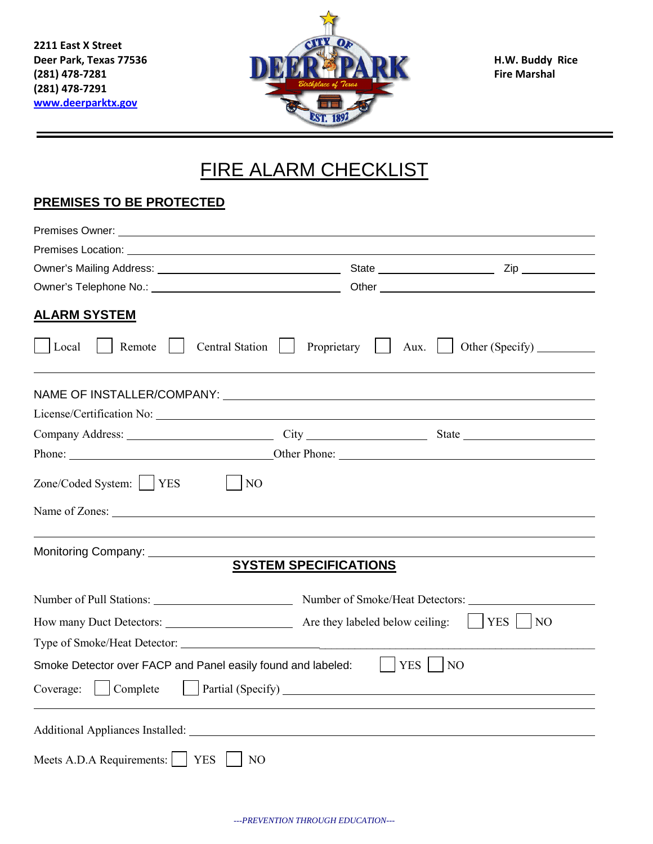**2211 East X Street (281) 478-7291 [www.deerparktx.gov](http://www.deerparktx.gov/)**



## FIRE ALARM CHECKLIST

## **PREMISES TO BE PROTECTED**

| <b>ALARM SYSTEM</b>                                          |                                                                                                                                                                                                                                |              |
|--------------------------------------------------------------|--------------------------------------------------------------------------------------------------------------------------------------------------------------------------------------------------------------------------------|--------------|
| Local<br>Remote                                              | Proprietary<br><b>Central Station</b><br>Aux.                                                                                                                                                                                  |              |
|                                                              | NAME OF INSTALLER/COMPANY: University of the contract of the state of the state of the state of the state of t                                                                                                                 |              |
|                                                              | License/Certification No:                                                                                                                                                                                                      |              |
|                                                              | Company Address: City City State State State State State State State State State State State State State State State State State State State State State State State State State State State State State State State State Sta |              |
|                                                              |                                                                                                                                                                                                                                |              |
| Zone/Coded System:     YES                                   | N <sub>O</sub>                                                                                                                                                                                                                 |              |
|                                                              |                                                                                                                                                                                                                                |              |
| Monitoring Company: _____________                            | <b>SYSTEM SPECIFICATIONS</b>                                                                                                                                                                                                   |              |
|                                                              |                                                                                                                                                                                                                                |              |
|                                                              |                                                                                                                                                                                                                                | $YES$     NO |
|                                                              |                                                                                                                                                                                                                                |              |
| Smoke Detector over FACP and Panel easily found and labeled: |                                                                                                                                                                                                                                | $YES$    NO  |
| Coverage:<br>Complete                                        | Partial (Specify)                                                                                                                                                                                                              |              |
|                                                              |                                                                                                                                                                                                                                |              |
| Meets A.D.A Requirements:<br>$ $ YES                         | N <sub>O</sub>                                                                                                                                                                                                                 |              |